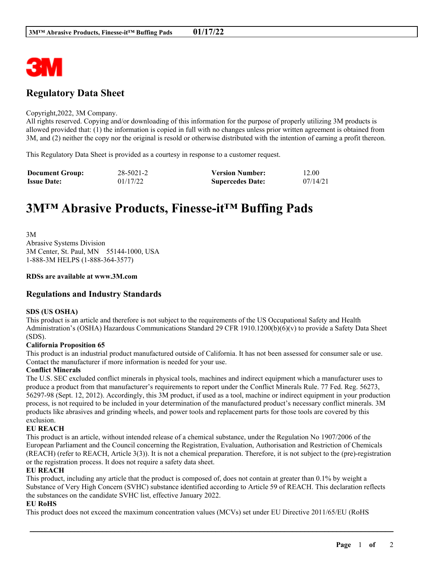

## **Regulatory Data Sheet**

#### Copyright,2022, 3M Company.

All rights reserved. Copying and/or downloading of this information for the purpose of properly utilizing 3M products is allowed provided that: (1) the information is copied in full with no changes unless prior written agreement is obtained from 3M, and (2) neither the copy nor the original is resold or otherwise distributed with the intention of earning a profit thereon.

This Regulatory Data Sheet is provided as a courtesy in response to a customer request.

| <b>Document Group:</b> | 28-5021-2 | <b>Version Number:</b>  | 12.00    |
|------------------------|-----------|-------------------------|----------|
| <b>Issue Date:</b>     | 01/17/22  | <b>Supercedes Date:</b> | 07/14/21 |

# **3M™ Abrasive Products, Finesse-it™ Buffing Pads**

3M Abrasive Systems Division 3M Center, St. Paul, MN 55144-1000, USA 1-888-3M HELPS (1-888-364-3577)

#### **RDSs are available at www.3M.com**

### **Regulations and Industry Standards**

#### **SDS (US OSHA)**

This product is an article and therefore is not subject to the requirements of the US Occupational Safety and Health Administration's (OSHA) Hazardous Communications Standard 29 CFR 1910.1200(b)(6)(v) to provide a Safety Data Sheet (SDS).

#### **California Proposition 65**

This product is an industrial product manufactured outside of California. It has not been assessed for consumer sale or use. Contact the manufacturer if more information is needed for your use.

#### **Conflict Minerals**

The U.S. SEC excluded conflict minerals in physical tools, machines and indirect equipment which a manufacturer uses to produce a product from that manufacturer's requirements to report under the Conflict Minerals Rule. 77 Fed. Reg. 56273, 56297-98 (Sept. 12, 2012). Accordingly, this 3M product, if used as a tool, machine or indirect equipment in your production process, is not required to be included in your determination of the manufactured product's necessary conflict minerals. 3M products like abrasives and grinding wheels, and power tools and replacement parts for those tools are covered by this exclusion.

#### **EU REACH**

This product is an article, without intended release of a chemical substance, under the Regulation No 1907/2006 of the European Parliament and the Council concerning the Registration, Evaluation, Authorisation and Restriction of Chemicals (REACH) (refer to REACH, Article 3(3)). It is not a chemical preparation. Therefore, it is not subject to the (pre)-registration or the registration process. It does not require a safety data sheet.

#### **EU REACH**

This product, including any article that the product is composed of, does not contain at greater than 0.1% by weight a Substance of Very High Concern (SVHC) substance identified according to Article 59 of REACH. This declaration reflects the substances on the candidate SVHC list, effective January 2022.

\_\_\_\_\_\_\_\_\_\_\_\_\_\_\_\_\_\_\_\_\_\_\_\_\_\_\_\_\_\_\_\_\_\_\_\_\_\_\_\_\_\_\_\_\_\_\_\_\_\_\_\_\_\_\_\_\_\_\_\_\_\_\_\_\_\_\_\_\_\_\_\_\_\_\_\_\_\_\_\_\_\_\_\_\_\_\_\_\_\_

#### **EU RoHS**

This product does not exceed the maximum concentration values (MCVs) set under EU Directive 2011/65/EU (RoHS